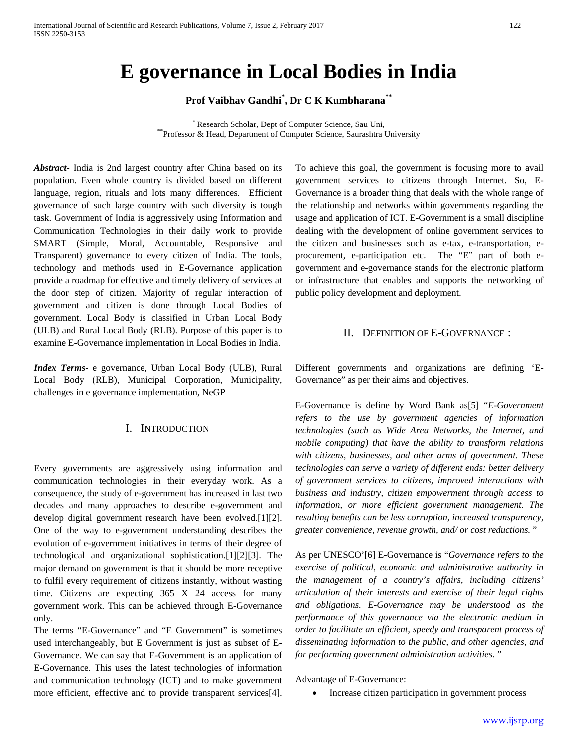# **E governance in Local Bodies in India**

**Prof Vaibhav Gandhi\* , Dr C K Kumbharana\*\***

\* Research Scholar, Dept of Computer Science, Sau Uni, \*\*Professor & Head, Department of Computer Science, Saurashtra University

*Abstract***-** India is 2nd largest country after China based on its population. Even whole country is divided based on different language, region, rituals and lots many differences. Efficient governance of such large country with such diversity is tough task. Government of India is aggressively using Information and Communication Technologies in their daily work to provide SMART (Simple, Moral, Accountable, Responsive and Transparent) governance to every citizen of India. The tools, technology and methods used in E-Governance application provide a roadmap for effective and timely delivery of services at the door step of citizen. Majority of regular interaction of government and citizen is done through Local Bodies of government. Local Body is classified in Urban Local Body (ULB) and Rural Local Body (RLB). Purpose of this paper is to examine E-Governance implementation in Local Bodies in India.

*Index Terms*- e governance, Urban Local Body (ULB), Rural Local Body (RLB), Municipal Corporation, Municipality, challenges in e governance implementation, NeGP

#### I. INTRODUCTION

Every governments are aggressively using information and communication technologies in their everyday work. As a consequence, the study of e-government has increased in last two decades and many approaches to describe e-government and develop digital government research have been evolved.[1][2]. One of the way to e-government understanding describes the evolution of e-government initiatives in terms of their degree of technological and organizational sophistication.[1][2][3]. The major demand on government is that it should be more receptive to fulfil every requirement of citizens instantly, without wasting time. Citizens are expecting 365 X 24 access for many government work. This can be achieved through E-Governance only.

The terms "E-Governance" and "E Government" is sometimes used interchangeably, but E Government is just as subset of E-Governance. We can say that E-Government is an application of E-Governance. This uses the latest technologies of information and communication technology (ICT) and to make government more efficient, effective and to provide transparent services[4]. To achieve this goal, the government is focusing more to avail government services to citizens through Internet. So, E-Governance is a broader thing that deals with the whole range of the relationship and networks within governments regarding the usage and application of ICT. E-Government is a Small discipline dealing with the development of online government services to the citizen and businesses such as e-tax, e-transportation, eprocurement, e-participation etc. The "E" part of both egovernment and e-governance stands for the electronic platform or infrastructure that enables and supports the networking of public policy development and deployment.

## II. DEFINITION OF E-GOVERNANCE :

Different governments and organizations are defining 'E-Governance" as per their aims and objectives.

E-Governance is define by Word Bank as[5] "*E-Government refers to the use by government agencies of information technologies (such as Wide Area Networks, the Internet, and mobile computing) that have the ability to transform relations with citizens, businesses, and other arms of government. These technologies can serve a variety of different ends: better delivery of government services to citizens, improved interactions with business and industry, citizen empowerment through access to information, or more efficient government management. The resulting benefits can be less corruption, increased transparency, greater convenience, revenue growth, and/ or cost reductions.* "

As per UNESCO'[6] E-Governance is "*Governance refers to the exercise of political, economic and administrative authority in the management of a country's affairs, including citizens' articulation of their interests and exercise of their legal rights and obligations. E-Governance may be understood as the performance of this governance via the electronic medium in order to facilitate an efficient, speedy and transparent process of disseminating information to the public, and other agencies, and for performing government administration activities.* "

Advantage of E-Governance:

• Increase citizen participation in government process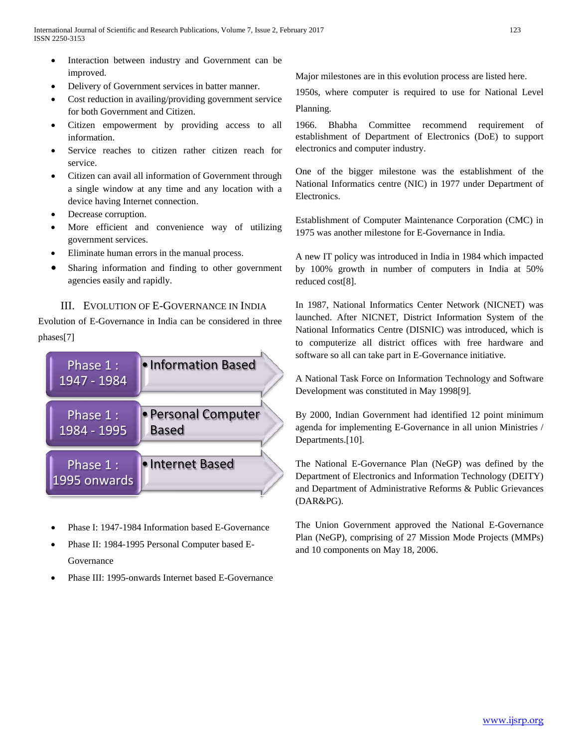- Interaction between industry and Government can be improved.
- Delivery of Government services in batter manner.
- Cost reduction in availing/providing government service for both Government and Citizen.
- Citizen empowerment by providing access to all information.
- Service reaches to citizen rather citizen reach for service.
- Citizen can avail all information of Government through a single window at any time and any location with a device having Internet connection.
- Decrease corruption.
- More efficient and convenience way of utilizing government services.
- Eliminate human errors in the manual process.
- Sharing information and finding to other government agencies easily and rapidly.

# III. EVOLUTION OF E-GOVERNANCE IN INDIA

Evolution of E-Governance in India can be considered in three phases[7]



- Phase I: 1947-1984 Information based E-Governance
- Phase II: 1984-1995 Personal Computer based E-Governance
- Phase III: 1995-onwards Internet based E-Governance

Major milestones are in this evolution process are listed here.

1950s, where computer is required to use for National Level Planning.

1966. Bhabha Committee recommend requirement of establishment of Department of Electronics (DoE) to support electronics and computer industry.

One of the bigger milestone was the establishment of the National Informatics centre (NIC) in 1977 under Department of Electronics.

Establishment of Computer Maintenance Corporation (CMC) in 1975 was another milestone for E-Governance in India.

A new IT policy was introduced in India in 1984 which impacted by 100% growth in number of computers in India at 50% reduced cost[8].

In 1987, National Informatics Center Network (NICNET) was launched. After NICNET, District Information System of the National Informatics Centre (DISNIC) was introduced, which is to computerize all district offices with free hardware and software so all can take part in E-Governance initiative.

A National Task Force on Information Technology and Software Development was constituted in May 1998[9].

By 2000, Indian Government had identified 12 point minimum agenda for implementing E-Governance in all union Ministries / Departments.<sup>[10]</sup>.

The National E-Governance Plan (NeGP) was defined by the Department of Electronics and Information Technology (DEITY) and Department of Administrative Reforms & Public Grievances (DAR&PG).

The Union Government approved the National E-Governance Plan (NeGP), comprising of 27 Mission Mode Projects (MMPs) and 10 components on May 18, 2006.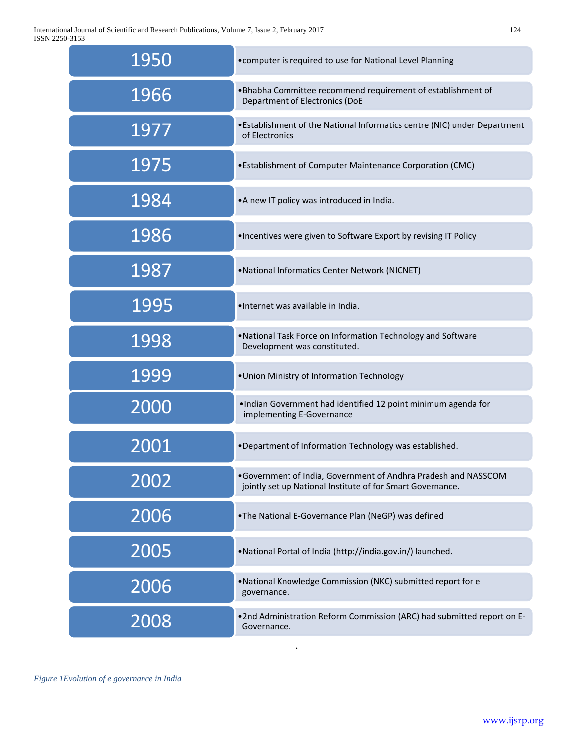International Journal of Scientific and Research Publications, Volume 7, Issue 2, February 2017 124 ISSN 2250-3153

| 1950 | • computer is required to use for National Level Planning                                                                    |
|------|------------------------------------------------------------------------------------------------------------------------------|
| 1966 | . Bhabha Committee recommend requirement of establishment of<br>Department of Electronics (DoE                               |
| 1977 | • Establishment of the National Informatics centre (NIC) under Department<br>of Electronics                                  |
| 1975 | • Establishment of Computer Maintenance Corporation (CMC)                                                                    |
| 1984 | •A new IT policy was introduced in India.                                                                                    |
| 1986 | . Incentives were given to Software Export by revising IT Policy                                                             |
| 1987 | .National Informatics Center Network (NICNET)                                                                                |
| 1995 | •Internet was available in India.                                                                                            |
| 1998 | . National Task Force on Information Technology and Software<br>Development was constituted.                                 |
| 1999 | . Union Ministry of Information Technology                                                                                   |
| 2000 | .Indian Government had identified 12 point minimum agenda for<br>implementing E-Governance                                   |
| 2001 | .Department of Information Technology was established.                                                                       |
| 2002 | .Government of India, Government of Andhra Pradesh and NASSCOM<br>jointly set up National Institute of for Smart Governance. |
| 2006 | .The National E-Governance Plan (NeGP) was defined                                                                           |
| 2005 | •National Portal of India (http://india.gov.in/) launched.                                                                   |
| 2006 | . National Knowledge Commission (NKC) submitted report for e<br>governance.                                                  |
| 2008 | .2nd Administration Reform Commission (ARC) had submitted report on E-<br>Governance.                                        |

.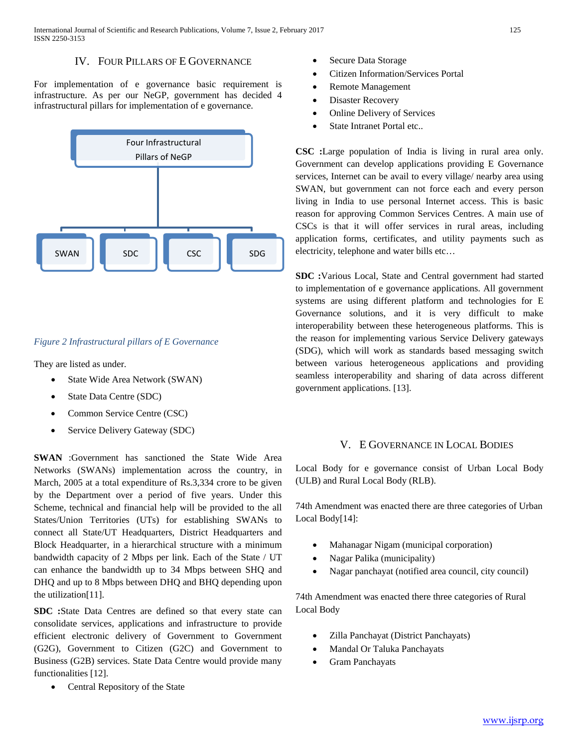# IV. FOUR PILLARS OF E GOVERNANCE

For implementation of e governance basic requirement is infrastructure. As per our NeGP, government has decided 4 infrastructural pillars for implementation of e governance.



### *Figure 2 Infrastructural pillars of E Governance*

They are listed as under.

- State Wide Area Network (SWAN)
- State Data Centre (SDC)
- Common Service Centre (CSC)
- Service Delivery Gateway (SDC)

**SWAN** :Government has sanctioned the State Wide Area Networks (SWANs) implementation across the country, in March, 2005 at a total expenditure of Rs.3,334 crore to be given by the Department over a period of five years. Under this Scheme, technical and financial help will be provided to the all States/Union Territories (UTs) for establishing SWANs to connect all State/UT Headquarters, District Headquarters and Block Headquarter, in a hierarchical structure with a minimum bandwidth capacity of 2 Mbps per link. Each of the State / UT can enhance the bandwidth up to 34 Mbps between SHQ and DHQ and up to 8 Mbps between DHQ and BHQ depending upon the utilization[11].

**SDC :**State Data Centres are defined so that every state can consolidate services, applications and infrastructure to provide efficient electronic delivery of Government to Government (G2G), Government to Citizen (G2C) and Government to Business (G2B) services. State Data Centre would provide many functionalities [12].

• Central Repository of the State

- Secure Data Storage
- Citizen Information/Services Portal
- Remote Management
- Disaster Recovery
- Online Delivery of Services
- State Intranet Portal etc..

**CSC :**Large population of India is living in rural area only. Government can develop applications providing E Governance services, Internet can be avail to every village/ nearby area using SWAN, but government can not force each and every person living in India to use personal Internet access. This is basic reason for approving Common Services Centres. A main use of CSCs is that it will offer services in rural areas, including application forms, certificates, and utility payments such as electricity, telephone and water bills etc…

**SDC :**Various Local, State and Central government had started to implementation of e governance applications. All government systems are using different platform and technologies for E Governance solutions, and it is very difficult to make interoperability between these heterogeneous platforms. This is the reason for implementing various Service Delivery gateways (SDG), which will work as standards based messaging switch between various heterogeneous applications and providing seamless interoperability and sharing of data across different government applications. [13].

#### V. E GOVERNANCE IN LOCAL BODIES

Local Body for e governance consist of Urban Local Body (ULB) and Rural Local Body (RLB).

74th Amendment was enacted there are three categories of Urban Local Body[14]:

- Mahanagar Nigam (municipal corporation)
- Nagar Palika (municipality)
- Nagar panchayat (notified area council, city council)

74th Amendment was enacted there three categories of Rural Local Body

- Zilla Panchayat (District Panchayats)
- Mandal Or Taluka Panchayats
- Gram Panchayats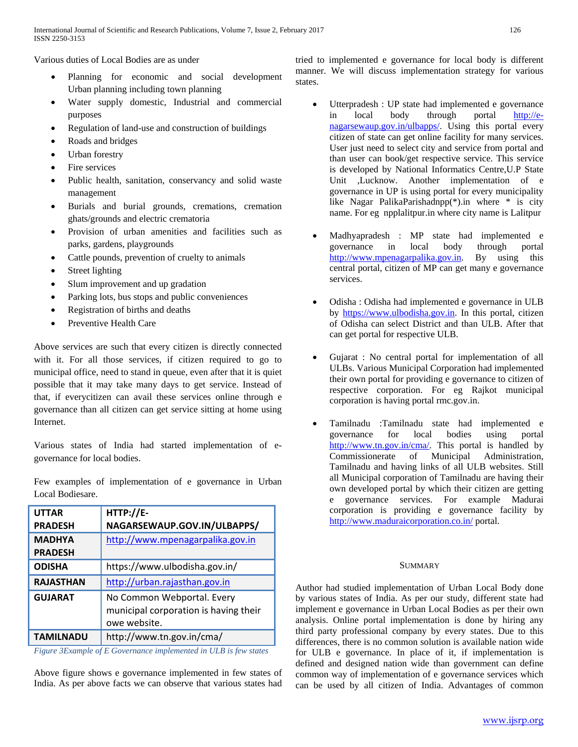Various duties of Local Bodies are as under

- Planning for economic and social development Urban planning including town planning
- Water supply domestic, Industrial and commercial purposes
- Regulation of land-use and construction of buildings
- Roads and bridges
- Urban forestry
- Fire services
- Public health, sanitation, conservancy and solid waste management
- Burials and burial grounds, cremations, cremation ghats/grounds and electric crematoria
- Provision of urban amenities and facilities such as parks, gardens, playgrounds
- Cattle pounds, prevention of cruelty to animals
- Street lighting
- Slum improvement and up gradation
- Parking lots, bus stops and public conveniences
- Registration of births and deaths
- Preventive Health Care

Above services are such that every citizen is directly connected with it. For all those services, if citizen required to go to municipal office, need to stand in queue, even after that it is quiet possible that it may take many days to get service. Instead of that, if everycitizen can avail these services online through e governance than all citizen can get service sitting at home using Internet.

Various states of India had started implementation of egovernance for local bodies.

Few examples of implementation of e governance in Urban Local Bodiesare.

| <b>UTTAR</b><br><b>PRADESH</b> | $HTTP://E-$<br>NAGARSEWAUP.GOV.IN/ULBAPPS/                                          |
|--------------------------------|-------------------------------------------------------------------------------------|
|                                |                                                                                     |
| <b>MADHYA</b>                  | http://www.mpenagarpalika.gov.in                                                    |
| <b>PRADESH</b>                 |                                                                                     |
| <b>ODISHA</b>                  | https://www.ulbodisha.gov.in/                                                       |
| <b>RAJASTHAN</b>               | http://urban.rajasthan.gov.in                                                       |
| <b>GUJARAT</b>                 | No Common Webportal. Every<br>municipal corporation is having their<br>owe website. |
| <b>TAMILNADU</b>               | http://www.tn.gov.in/cma/                                                           |

*Figure 3Example of E Governance implemented in ULB is few states*

Above figure shows e governance implemented in few states of India. As per above facts we can observe that various states had tried to implemented e governance for local body is different manner. We will discuss implementation strategy for various states.

- Utterpradesh : UP state had implemented e governance in local body through portal [http://e](http://e-nagarsewaup.gov.in/ulbapps/)[nagarsewaup.gov.in/ulbapps/.](http://e-nagarsewaup.gov.in/ulbapps/) Using this portal every citizen of state can get online facility for many services. User just need to select city and service from portal and than user can book/get respective service. This service is developed by National Informatics Centre,U.P State Unit ,Lucknow. Another implementation of e governance in UP is using portal for every municipality like Nagar PalikaParishadnpp(\*).in where \* is city name. For eg npplalitpur.in where city name is Lalitpur
- Madhyapradesh : MP state had implemented e governance in local body through portal [http://www.mpenagarpalika.gov.in.](http://www.mpenagarpalika.gov.in/) By using this central portal, citizen of MP can get many e governance services.
- Odisha : Odisha had implemented e governance in ULB by [https://www.ulbodisha.gov.in.](https://www.ulbodisha.gov.in/) In this portal, citizen of Odisha can select District and than ULB. After that can get portal for respective ULB.
- Gujarat : No central portal for implementation of all ULBs. Various Municipal Corporation had implemented their own portal for providing e governance to citizen of respective corporation. For eg Rajkot municipal corporation is having portal rmc.gov.in.
- Tamilnadu :Tamilnadu state had implemented e governance for local bodies using portal [http://www.tn.gov.in/cma/.](http://www.tn.gov.in/cma/) This portal is handled by Commissionerate of Municipal Administration, Tamilnadu and having links of all ULB websites. Still all Municipal corporation of Tamilnadu are having their own developed portal by which their citizen are getting e governance services. For example Madurai corporation is providing e governance facility by <http://www.maduraicorporation.co.in/> portal.

#### **SUMMARY**

Author had studied implementation of Urban Local Body done by various states of India. As per our study, different state had implement e governance in Urban Local Bodies as per their own analysis. Online portal implementation is done by hiring any third party professional company by every states. Due to this differences, there is no common solution is available nation wide for ULB e governance. In place of it, if implementation is defined and designed nation wide than government can define common way of implementation of e governance services which can be used by all citizen of India. Advantages of common